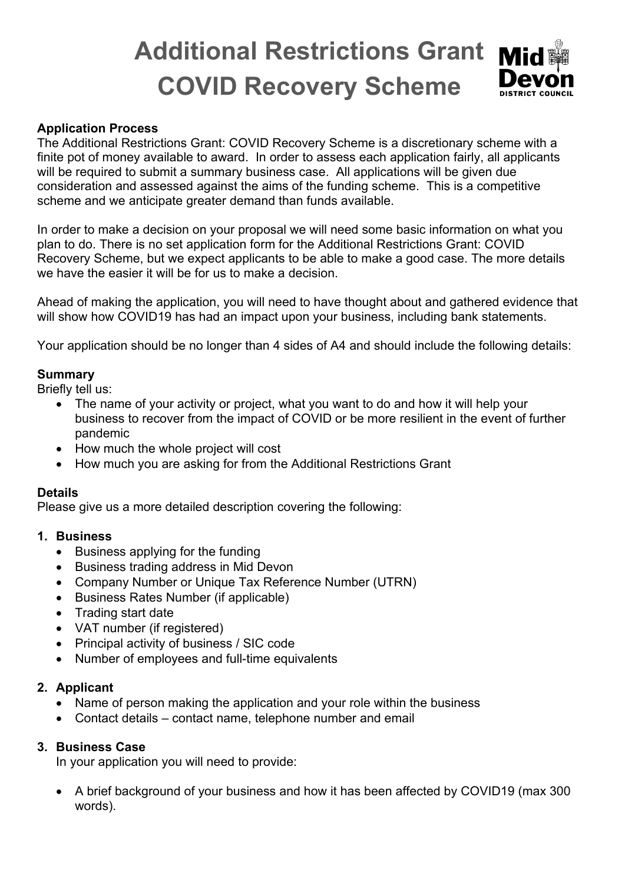# **Additional Restrictions Grant COVID Recovery Scheme**

#### **Application Process**

The Additional Restrictions Grant: COVID Recovery Scheme is a discretionary scheme with a finite pot of money available to award. In order to assess each application fairly, all applicants will be required to submit a summary business case. All applications will be given due consideration and assessed against the aims of the funding scheme. This is a competitive scheme and we anticipate greater demand than funds available.

In order to make a decision on your proposal we will need some basic information on what you plan to do. There is no set application form for the Additional Restrictions Grant: COVID Recovery Scheme, but we expect applicants to be able to make a good case. The more details we have the easier it will be for us to make a decision.

Ahead of making the application, you will need to have thought about and gathered evidence that will show how COVID19 has had an impact upon your business, including bank statements.

Your application should be no longer than 4 sides of A4 and should include the following details:

# **Summary**

Briefly tell us:

- The name of your activity or project, what you want to do and how it will help your business to recover from the impact of COVID or be more resilient in the event of further pandemic
- How much the whole project will cost
- How much you are asking for from the Additional Restrictions Grant

#### **Details**

Please give us a more detailed description covering the following:

#### **1. Business**

- Business applying for the funding
- Business trading address in Mid Devon
- Company Number or Unique Tax Reference Number (UTRN)
- Business Rates Number (if applicable)
- Trading start date
- VAT number (if registered)
- Principal activity of business / SIC code
- Number of employees and full-time equivalents

#### **2. Applicant**

- Name of person making the application and your role within the business
- Contact details contact name, telephone number and email

#### **3. Business Case**

In your application you will need to provide:

• A brief background of your business and how it has been affected by COVID19 (max 300 words).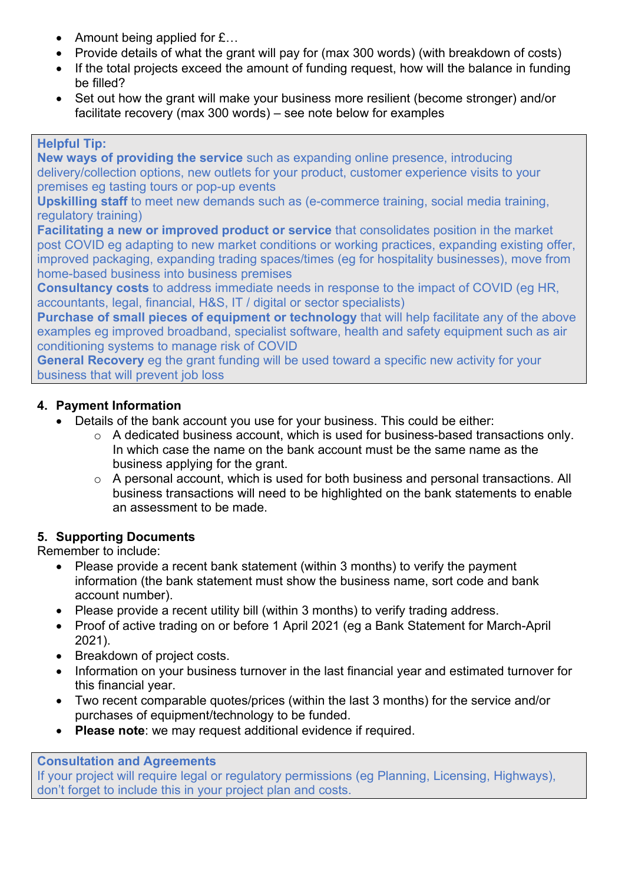- Amount being applied for £...
- Provide details of what the grant will pay for (max 300 words) (with breakdown of costs)
- If the total projects exceed the amount of funding request, how will the balance in funding be filled?
- Set out how the grant will make your business more resilient (become stronger) and/or facilitate recovery (max 300 words) – see note below for examples

#### **Helpful Tip:**

**New ways of providing the service** such as expanding online presence, introducing delivery/collection options, new outlets for your product, customer experience visits to your premises eg tasting tours or pop-up events

**Upskilling staff** to meet new demands such as (e-commerce training, social media training, regulatory training)

**Facilitating a new or improved product or service** that consolidates position in the market post COVID eg adapting to new market conditions or working practices, expanding existing offer, improved packaging, expanding trading spaces/times (eg for hospitality businesses), move from home-based business into business premises

**Consultancy costs** to address immediate needs in response to the impact of COVID (eg HR, accountants, legal, financial, H&S, IT / digital or sector specialists)

**Purchase of small pieces of equipment or technology** that will help facilitate any of the above examples eg improved broadband, specialist software, health and safety equipment such as air conditioning systems to manage risk of COVID

**General Recovery** eg the grant funding will be used toward a specific new activity for your business that will prevent job loss

# **4. Payment Information**

- Details of the bank account you use for your business. This could be either:
	- $\circ$  A dedicated business account, which is used for business-based transactions only. In which case the name on the bank account must be the same name as the business applying for the grant.
	- o A personal account, which is used for both business and personal transactions. All business transactions will need to be highlighted on the bank statements to enable an assessment to be made.

# **5. Supporting Documents**

Remember to include:

- Please provide a recent bank statement (within 3 months) to verify the payment information (the bank statement must show the business name, sort code and bank account number).
- Please provide a recent utility bill (within 3 months) to verify trading address.
- Proof of active trading on or before 1 April 2021 (eg a Bank Statement for March-April 2021).
- Breakdown of project costs.
- Information on your business turnover in the last financial year and estimated turnover for this financial year.
- Two recent comparable quotes/prices (within the last 3 months) for the service and/or purchases of equipment/technology to be funded.
- **Please note**: we may request additional evidence if required.

#### **Consultation and Agreements**

If your project will require legal or regulatory permissions (eg Planning, Licensing, Highways), don't forget to include this in your project plan and costs.